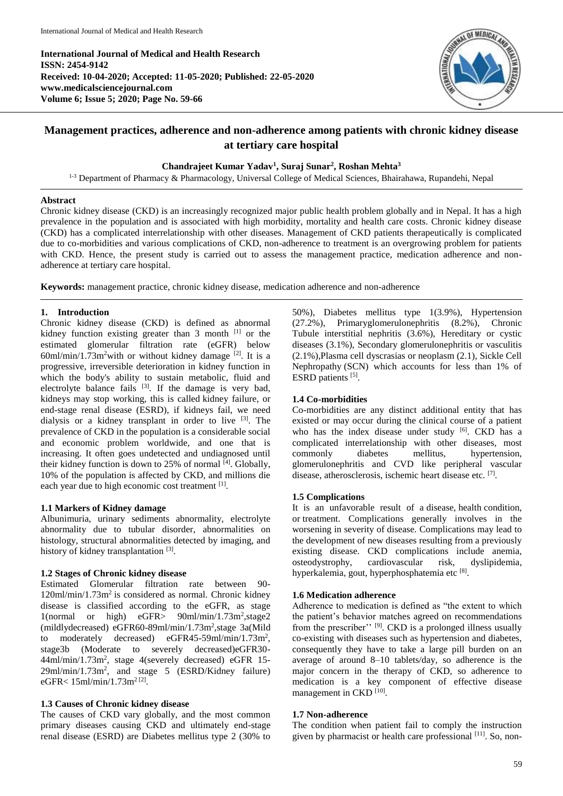**International Journal of Medical and Health Research ISSN: 2454-9142 Received: 10-04-2020; Accepted: 11-05-2020; Published: 22-05-2020 www.medicalsciencejournal.com Volume 6; Issue 5; 2020; Page No. 59-66**



# **Management practices, adherence and non-adherence among patients with chronic kidney disease at tertiary care hospital**

## **Chandrajeet Kumar Yadav<sup>1</sup> , Suraj Sunar<sup>2</sup> , Roshan Mehta<sup>3</sup>**

<sup>1-3</sup> Department of Pharmacy & Pharmacology, Universal College of Medical Sciences, Bhairahawa, Rupandehi, Nepal

#### **Abstract**

Chronic kidney disease (CKD) is an increasingly recognized major public health problem globally and in Nepal. It has a high prevalence in the population and is associated with high morbidity, mortality and health care costs. Chronic kidney disease (CKD) has a complicated interrelationship with other diseases. Management of CKD patients therapeutically is complicated due to co-morbidities and various complications of CKD, non-adherence to treatment is an overgrowing problem for patients with CKD. Hence, the present study is carried out to assess the management practice, medication adherence and nonadherence at tertiary care hospital.

**Keywords:** management practice, chronic kidney disease, medication adherence and non-adherence

### **1. Introduction**

Chronic kidney disease (CKD) is defined as abnormal kidney function existing greater than 3 month <sup>[1]</sup> or the estimated glomerular filtration rate (eGFR) below  $60$ ml/min/1.73m<sup>2</sup>with or without kidney damage <sup>[2]</sup>. It is a progressive, irreversible deterioration in kidney function in which the body's ability to sustain metabolic, fluid and electrolyte balance fails  $[3]$ . If the damage is very bad, kidneys may stop working, this is called kidney failure, or end-stage renal disease (ESRD), if kidneys fail, we need dialysis or a kidney transplant in order to live [3] . The prevalence of CKD in the population is a considerable social and economic problem worldwide, and one that is increasing. It often goes undetected and undiagnosed until their kidney function is down to 25% of normal [4]. Globally, 10% of the population is affected by CKD, and millions die each year due to high economic cost treatment [1].

## **1.1 Markers of Kidney damage**

Albunimuria, urinary sediments abnormality, electrolyte abnormality due to tubular disorder, abnormalities on histology, structural abnormalities detected by imaging, and history of kidney transplantation [3].

## **1.2 Stages of Chronic kidney disease**

Estimated Glomerular filtration rate between 90-  $120$ ml/min/1.73m<sup>2</sup> is considered as normal. Chronic kidney disease is classified according to the eGFR, as stage 1(normal or high) eGFR> 90ml/min/1.73m<sup>2</sup>, stage2 (mildlydecreased) eGFR60-89ml/min/1.73m<sup>2</sup> ,stage 3a(Mild to moderately decreased) eGFR45-59ml/min/1.73m<sup>2</sup>, stage3b (Moderate to severely decreased)eGFR30- 44ml/min/1.73m<sup>2</sup> , stage 4(severely decreased) eGFR 15- 29ml/min/1.73m<sup>2</sup> , and stage 5 (ESRD/Kidney failure)  $e$ GFR< 15ml/min/1.73m<sup>2[2]</sup>.

## **1.3 Causes of Chronic kidney disease**

The causes of CKD vary globally, and the most common primary diseases causing CKD and ultimately end-stage renal disease (ESRD) are Diabetes mellitus type 2 (30% to

50%), Diabetes mellitus type 1(3.9%), Hypertension (27.2%), Primaryglomerulonephritis (8.2%), Chronic Tubule interstitial nephritis (3.6%), Hereditary or cystic diseases (3.1%), Secondary glomerulonephritis or vasculitis (2.1%),Plasma cell dyscrasias or neoplasm (2.1), Sickle Cell Nephropathy (SCN) which accounts for less than 1% of ESRD patients [5].

## **1.4 Co-morbidities**

Co-morbidities are any distinct additional entity that has existed or may occur during the clinical course of a patient who has the index disease under study <sup>[6]</sup>. CKD has a complicated interrelationship with other diseases, most commonly diabetes mellitus, hypertension, glomerulonephritis and CVD like peripheral vascular disease, atherosclerosis, ischemic heart disease etc. [7].

## **1.5 Complications**

It is an unfavorable result of a disease, health condition, or treatment. Complications generally involves in the worsening in severity of disease. Complications may lead to the development of new diseases resulting from a previously existing disease. CKD complications include anemia, osteodystrophy, cardiovascular risk, dyslipidemia, hyperkalemia, gout, hyperphosphatemia etc [8].

## **1.6 Medication adherence**

Adherence to medication is defined as "the extent to which the patient's behavior matches agreed on recommendations from the prescriber"<sup>? [9]</sup>. CKD is a prolonged illness usually co-existing with diseases such as hypertension and diabetes, consequently they have to take a large pill burden on an average of around 8–10 tablets/day, so adherence is the major concern in the therapy of CKD, so adherence to medication is a key component of effective disease management in CKD<sup>[10]</sup>.

## **1.7 Non-adherence**

The condition when patient fail to comply the instruction given by pharmacist or health care professional [11]. So, non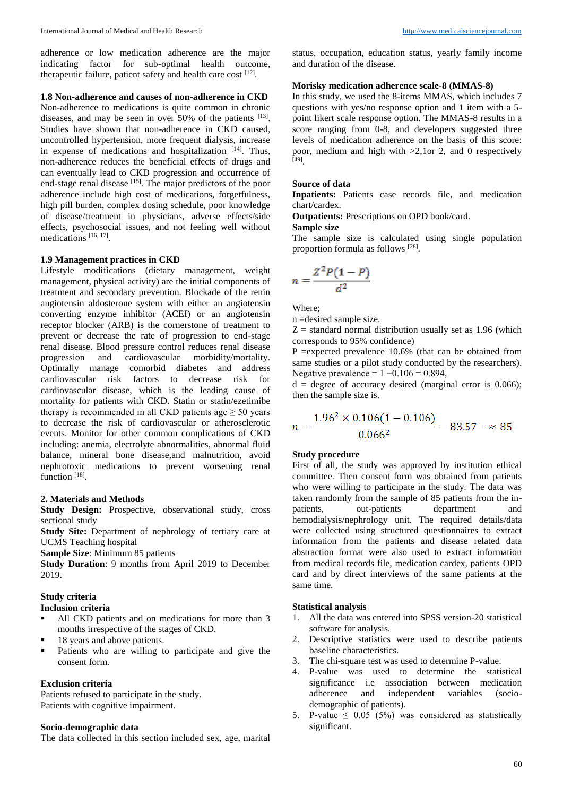adherence or low medication adherence are the major indicating factor for sub-optimal health outcome, therapeutic failure, patient safety and health care cost [12].

## **1.8 Non-adherence and causes of non-adherence in CKD**

Non-adherence to medications is quite common in chronic diseases, and may be seen in over 50% of the patients  $[13]$ . Studies have shown that non-adherence in CKD caused, uncontrolled hypertension, more frequent dialysis, increase in expense of medications and hospitalization [14]. Thus, non-adherence reduces the beneficial effects of drugs and can eventually lead to CKD progression and occurrence of end-stage renal disease <sup>[15]</sup>. The major predictors of the poor adherence include high cost of medications, forgetfulness, high pill burden, complex dosing schedule, poor knowledge of disease/treatment in physicians, adverse effects/side effects, psychosocial issues, and not feeling well without medications [16, 17] .

#### **1.9 Management practices in CKD**

Lifestyle modifications (dietary management, weight management, physical activity) are the initial components of treatment and secondary prevention. Blockade of the renin angiotensin aldosterone system with either an angiotensin converting enzyme inhibitor (ACEI) or an angiotensin receptor blocker (ARB) is the cornerstone of treatment to prevent or decrease the rate of progression to end-stage renal disease. Blood pressure control reduces renal disease progression and cardiovascular morbidity/mortality. Optimally manage comorbid diabetes and address cardiovascular risk factors to decrease risk for cardiovascular disease, which is the leading cause of mortality for patients with CKD. Statin or statin/ezetimibe therapy is recommended in all CKD patients age  $\geq$  50 years to decrease the risk of cardiovascular or atherosclerotic events. Monitor for other common complications of CKD including: anemia, electrolyte abnormalities, abnormal fluid balance, mineral bone disease,and malnutrition, avoid nephrotoxic medications to prevent worsening renal function [18].

### **2. Materials and Methods**

**Study Design:** Prospective, observational study, cross sectional study

**Study Site:** Department of nephrology of tertiary care at UCMS Teaching hospital

**Sample Size**: Minimum 85 patients

**Study Duration**: 9 months from April 2019 to December 2019.

#### **Study criteria Inclusion criteria**

- 
- All CKD patients and on medications for more than 3 months irrespective of the stages of CKD.
- 18 years and above patients.
- **Patients** who are willing to participate and give the consent form.

## **Exclusion criteria**

Patients refused to participate in the study. Patients with cognitive impairment.

## **Socio-demographic data**

The data collected in this section included sex, age, marital

status, occupation, education status, yearly family income and duration of the disease.

### **Morisky medication adherence scale-8 (MMAS-8)**

In this study, we used the 8-items MMAS, which includes 7 questions with yes/no response option and 1 item with a 5 point likert scale response option. The MMAS-8 results in a score ranging from 0-8, and developers suggested three levels of medication adherence on the basis of this score: poor, medium and high with >2,1or 2, and 0 respectively [49] .

## **Source of data**

**Inpatients:** Patients case records file, and medication chart/cardex.

**Outpatients:** Prescriptions on OPD book/card.

## **Sample size**

The sample size is calculated using single population proportion formula as follows [28].

$$
n = \frac{Z^2 P(1 - P)}{d^2}
$$

Where;

n =desired sample size.

 $Z =$  standard normal distribution usually set as 1.96 (which corresponds to 95% confidence)

P = expected prevalence  $10.6\%$  (that can be obtained from same studies or a pilot study conducted by the researchers). Negative prevalence =  $1 - 0.106 = 0.894$ ,

 $d =$  degree of accuracy desired (marginal error is 0.066); then the sample size is.

$$
n = \frac{1.96^2 \times 0.106(1 - 0.106)}{0.066^2} = 83.57 = \approx 85
$$

### **Study procedure**

First of all, the study was approved by institution ethical committee. Then consent form was obtained from patients who were willing to participate in the study. The data was taken randomly from the sample of 85 patients from the inpatients, out-patients department and hemodialysis/nephrology unit. The required details/data were collected using structured questionnaires to extract information from the patients and disease related data abstraction format were also used to extract information from medical records file, medication cardex, patients OPD card and by direct interviews of the same patients at the same time.

#### **Statistical analysis**

- 1. All the data was entered into SPSS version-20 statistical software for analysis.
- 2. Descriptive statistics were used to describe patients baseline characteristics.
- 3. The chi-square test was used to determine P-value.
- 4. P-value was used to determine the statistical significance i.e association between medication adherence and independent variables (sociodemographic of patients).
- 5. P-value  $\leq$  0.05 (5%) was considered as statistically significant.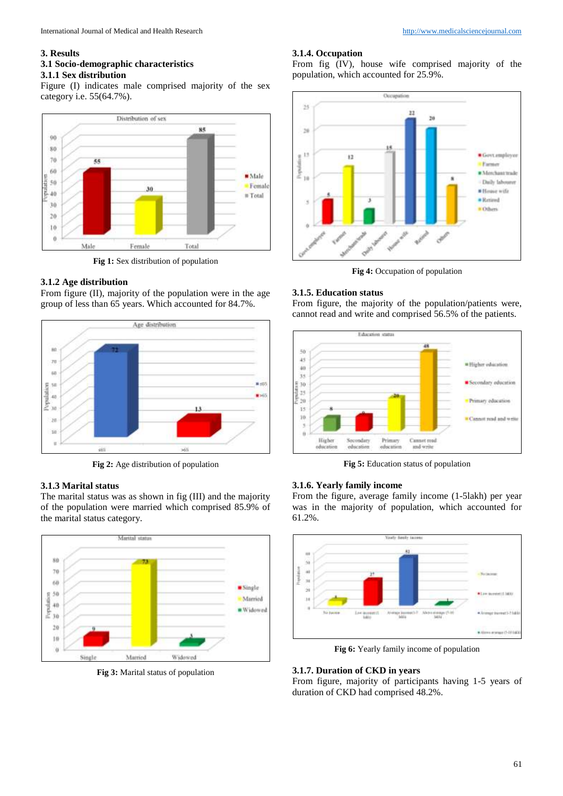## **3. Results**

## **3.1 Socio-demographic characteristics**

**3.1.1 Sex distribution**

Figure (I) indicates male comprised majority of the sex category i.e. 55(64.7%).



**Fig 1:** Sex distribution of population

## **3.1.2 Age distribution**

From figure (II), majority of the population were in the age group of less than 65 years. Which accounted for 84.7%.



**Fig 2:** Age distribution of population

### **3.1.3 Marital status**

The marital status was as shown in fig (III) and the majority of the population were married which comprised 85.9% of the marital status category.



**Fig 3:** Marital status of population

## **3.1.4. Occupation**

From fig (IV), house wife comprised majority of the population, which accounted for 25.9%.



**Fig 4:** Occupation of population

### **3.1.5. Education status**

From figure, the majority of the population/patients were, cannot read and write and comprised 56.5% of the patients.



**Fig 5:** Education status of population

### **3.1.6. Yearly family income**

From the figure, average family income (1-5lakh) per year was in the majority of population, which accounted for 61.2%.



**Fig 6:** Yearly family income of population

## **3.1.7. Duration of CKD in years**

From figure, majority of participants having 1-5 years of duration of CKD had comprised 48.2%.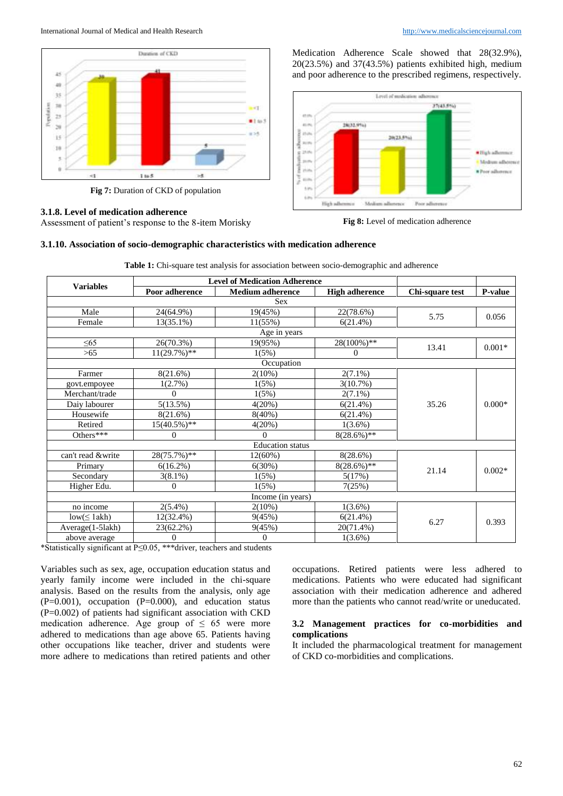International Journal of Medical and Health Research [http://www.medicalsciencejournal.com](http://www.medicalsciencejournal.com/)



**Fig 7:** Duration of CKD of population

## **3.1.8. Level of medication adherence**

Assessment of patient's response to the 8-item Morisky

Medication Adherence Scale showed that 28(32.9%), 20(23.5%) and 37(43.5%) patients exhibited high, medium and poor adherence to the prescribed regimens, respectively.



**Fig 8:** Level of medication adherence

## **3.1.10. Association of socio-demographic characteristics with medication adherence**

| <b>Variables</b>        | <b>Level of Medication Adherence</b> |                         |                       |                 |                |
|-------------------------|--------------------------------------|-------------------------|-----------------------|-----------------|----------------|
|                         | Poor adherence                       | <b>Medium</b> adherence | <b>High adherence</b> | Chi-square test | <b>P-value</b> |
|                         |                                      | <b>Sex</b>              |                       |                 |                |
| Male                    | 24(64.9%)                            | 19(45%)                 | 22(78.6%)             | 5.75            | 0.056          |
| Female                  | $13(35.1\%)$                         | $11(55\%)$              | 6(21.4%)              |                 |                |
|                         |                                      | Age in years            |                       |                 |                |
| $\leq 65$               | 26(70.3%)                            | 19(95%)                 | 28(100%)**            |                 | $0.001*$       |
| $>65$                   | $11(29.7\%)$ **                      | 1(5%)                   | $\Omega$              | 13.41           |                |
|                         |                                      | Occupation              |                       |                 |                |
| Farmer                  | 8(21.6%)                             | $2(10\%)$               | $2(7.1\%)$            |                 | $0.000*$       |
| govt.empoyee            | 1(2.7%)                              | 1(5%)                   | 3(10.7%)              |                 |                |
| Merchant/trade          | $\Omega$                             | 1(5%)                   | $2(7.1\%)$            |                 |                |
| Daiy labourer           | 5(13.5%)                             | 4(20%)                  | 6(21.4%)              | 35.26           |                |
| Housewife               | 8(21.6%)                             | $8(40\%)$               | 6(21.4%)              |                 |                |
| Retired                 | $15(40.5\%)**$                       | 4(20%)                  | $1(3.6\%)$            |                 |                |
| Others***               | $\Omega$                             | $\Omega$                | $8(28.6\%)**$         |                 |                |
| <b>Education</b> status |                                      |                         |                       |                 |                |
| can't read &write       | $28(75.7%)$ **                       | 12(60%)                 | 8(28.6%)              |                 | $0.002*$       |
| Primary                 | $6(16.2\%)$                          | 6(30%)                  | $8(28.6\%)**$         |                 |                |
| Secondary               | $3(8.1\%)$                           | 1(5%)                   | 5(17%)                | 21.14           |                |
| Higher Edu.             | $\Omega$                             | 1(5%)                   | 7(25%)                |                 |                |
| Income (in years)       |                                      |                         |                       |                 |                |
| no income               | $2(5.4\%)$                           | $2(10\%)$               | $1(3.6\%)$            |                 | 0.393          |
| $low(\leq 1akh)$        | 12(32.4%)                            | 9(45%)                  | 6(21.4%)              |                 |                |
| Average(1-5lakh)        | 23(62.2%)                            | 9(45%)                  | 20(71.4%)             | 6.27            |                |
| above average           | $\overline{0}$                       | $\theta$                | $1(3.6\%)$            |                 |                |

**Table 1:** Chi-square test analysis for association between socio-demographic and adherence

\*Statistically significant at P≤0.05, \*\*\*driver, teachers and students

Variables such as sex, age, occupation education status and yearly family income were included in the chi-square analysis. Based on the results from the analysis, only age  $(P=0.001)$ , occupation  $(P=0.000)$ , and education status (P=0.002) of patients had significant association with CKD medication adherence. Age group of  $\leq 65$  were more adhered to medications than age above 65. Patients having other occupations like teacher, driver and students were more adhere to medications than retired patients and other

occupations. Retired patients were less adhered to medications. Patients who were educated had significant association with their medication adherence and adhered more than the patients who cannot read/write or uneducated.

## **3.2 Management practices for co-morbidities and complications**

It included the pharmacological treatment for management of CKD co-morbidities and complications.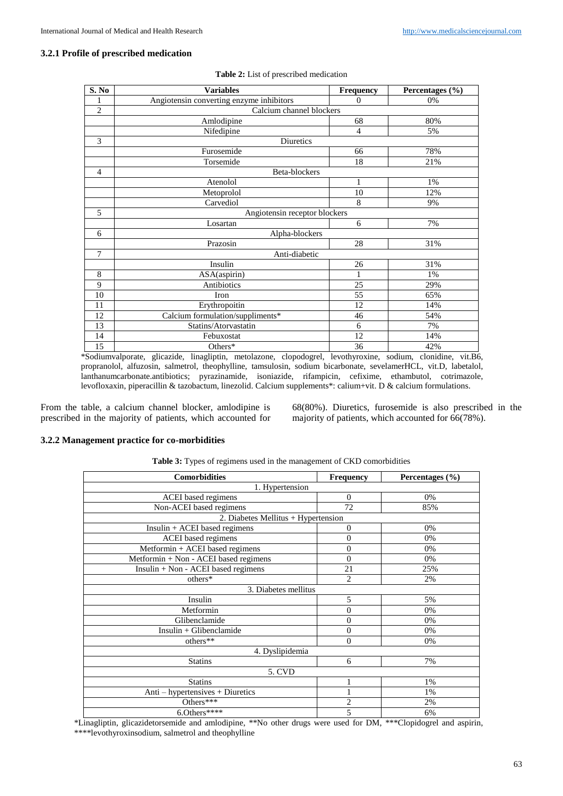## **3.2.1 Profile of prescribed medication**

| S. No          | <b>Variables</b>                         | Frequency                     | Percentages (%) |  |  |
|----------------|------------------------------------------|-------------------------------|-----------------|--|--|
| 1              | Angiotensin converting enzyme inhibitors | $\Omega$                      | 0%              |  |  |
| $\overline{2}$ |                                          | Calcium channel blockers      |                 |  |  |
|                | Amlodipine                               | 68                            | 80%             |  |  |
|                | Nifedipine                               | 4                             | 5%              |  |  |
| 3              | Diuretics                                |                               |                 |  |  |
|                | Furosemide                               | 66                            | 78%             |  |  |
|                | Torsemide                                | 18                            | 21%             |  |  |
| $\overline{4}$ | Beta-blockers                            |                               |                 |  |  |
|                | Atenolol                                 | $\mathbf{1}$                  | 1%              |  |  |
|                | Metoprolol                               | 10                            | 12%             |  |  |
|                | Carvediol                                | 8                             | 9%              |  |  |
| 5              |                                          | Angiotensin receptor blockers |                 |  |  |
|                | Losartan                                 | 6                             | 7%              |  |  |
| 6              | Alpha-blockers                           |                               |                 |  |  |
|                | Prazosin                                 | 28                            | 31%             |  |  |
| 7              | Anti-diabetic                            |                               |                 |  |  |
|                | Insulin                                  | 26                            | 31%             |  |  |
| 8              | ASA(aspirin)                             | 1                             | 1%              |  |  |
| 9              | Antibiotics                              | 25                            | 29%             |  |  |
| 10             | Iron                                     | 55                            | 65%             |  |  |
| 11             | Erythropoitin                            | 12                            | 14%             |  |  |
| 12             | Calcium formulation/suppliments*         | 46                            | 54%             |  |  |
| 13             | Statins/Atorvastatin                     | 6                             | 7%              |  |  |
| 14             | Febuxostat                               | 12                            | 14%             |  |  |
| 15             | Others*                                  | 36                            | 42%             |  |  |

**Table 2:** List of prescribed medication

\*Sodiumvalporate, glicazide, linagliptin, metolazone, clopodogrel, levothyroxine, sodium, clonidine, vit.B6, propranolol, alfuzosin, salmetrol, theophylline, tamsulosin, sodium bicarbonate, sevelamerHCL, vit.D, labetalol, lanthanumcarbonate.antibiotics; pyrazinamide, isoniazide, rifampicin, cefixime, ethambutol, cotrimazole, levofloxaxin, piperacillin & tazobactum, linezolid. Calcium supplements\*: calium+vit. D & calcium formulations.

From the table, a calcium channel blocker, amlodipine is prescribed in the majority of patients, which accounted for

68(80%). Diuretics, furosemide is also prescribed in the majority of patients, which accounted for 66(78%).

### **3.2.2 Management practice for co-morbidities**

|  |  |  | Table 3: Types of regimens used in the management of CKD comorbidities |
|--|--|--|------------------------------------------------------------------------|
|  |  |  |                                                                        |

| <b>Comorbidities</b>                  | <b>Frequency</b> | Percentages $(\% )$ |  |  |
|---------------------------------------|------------------|---------------------|--|--|
| 1. Hypertension                       |                  |                     |  |  |
| ACEI based regimens                   | $\mathbf{0}$     | 0%                  |  |  |
| Non-ACEI based regimens               | 72               | 85%                 |  |  |
| 2. Diabetes Mellitus + Hypertension   |                  |                     |  |  |
| $Insulin + ACEI$ based regimens       | $\mathbf{0}$     | 0%                  |  |  |
| ACEI based regimens                   | $\overline{0}$   | 0%                  |  |  |
| Metformin + ACEI based regimens       | $\mathbf{0}$     | 0%                  |  |  |
| Metformin + Non - ACEI based regimens | $\overline{0}$   | 0%                  |  |  |
| Insulin + Non - ACEI based regimens   | 21               | 25%                 |  |  |
| others*                               | $\overline{2}$   | 2%                  |  |  |
| 3. Diabetes mellitus                  |                  |                     |  |  |
| Insulin                               | 5                | 5%                  |  |  |
| Metformin                             | $\overline{0}$   | 0%                  |  |  |
| Glibenclamide                         | $\overline{0}$   | 0%                  |  |  |
| Insulin + Glibenclamide               | $\overline{0}$   | 0%                  |  |  |
| others**                              | $\overline{0}$   | 0%                  |  |  |
| 4. Dyslipidemia                       |                  |                     |  |  |
| <b>Statins</b>                        | 6                | 7%                  |  |  |
| 5. CVD                                |                  |                     |  |  |
| <b>Statins</b>                        | 1                | 1%                  |  |  |
| Anti – hypertensives + Diuretics      | 1                | 1%                  |  |  |
| Others***                             | $\overline{c}$   | 2%                  |  |  |
| $6.0$ thers****                       | 5                | 6%                  |  |  |

\*Linagliptin, glicazidetorsemide and amlodipine, \*\*No other drugs were used for DM, \*\*\*Clopidogrel and aspirin, \*\*\*\*levothyroxinsodium, salmetrol and theophylline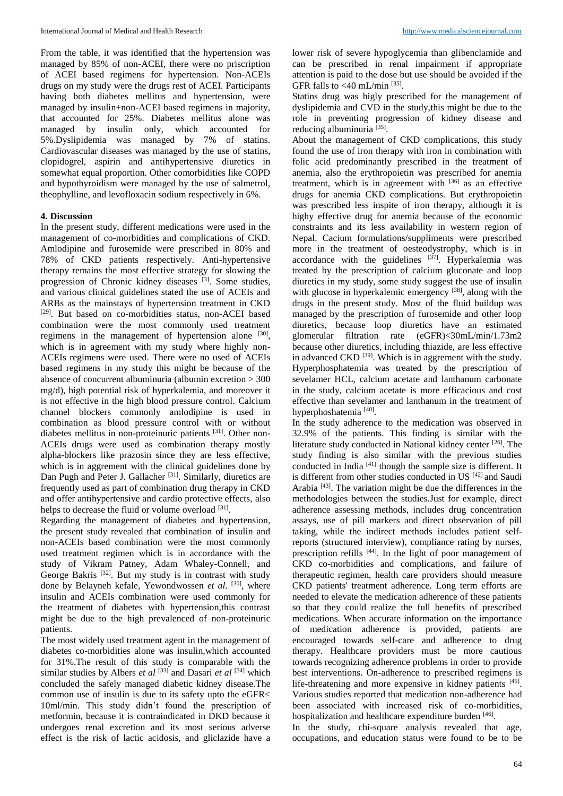From the table, it was identified that the hypertension was managed by 85% of non-ACEI, there were no priscription of ACEI based regimens for hypertension. Non-ACEIs drugs on my study were the drugs rest of ACEI. Participants having both diabetes mellitus and hypertension, were managed by insulin+non-ACEI based regimens in majority, that accounted for 25%. Diabetes mellitus alone was managed by insulin only, which accounted for 5%.Dyslipidemia was managed by 7% of statins. Cardiovascular diseases was managed by the use of statins, clopidogrel, aspirin and antihypertensive diuretics in somewhat equal proportion. Other comorbidities like COPD and hypothyroidism were managed by the use of salmetrol, theophylline, and levofloxacin sodium respectively in 6%.

## **4. Discussion**

In the present study, different medications were used in the management of co-morbidities and complications of CKD. Amlodipine and furosemide were prescribed in 80% and 78% of CKD patients respectively. Anti-hypertensive therapy remains the most effective strategy for slowing the progression of Chronic kidney diseases [3]. Some studies, and various clinical guidelines stated the use of ACEIs and ARBs as the mainstays of hypertension treatment in CKD [29]. But based on co-morbidities status, non-ACEI based combination were the most commonly used treatment regimens in the management of hypertension alone [30], which is in agreement with my study where highly non-ACEIs regimens were used. There were no used of ACEIs based regimens in my study this might be because of the absence of concurrent albuminuria (albumin excretion > 300 mg/d), high potential risk of hyperkalemia, and moreover it is not effective in the high blood pressure control. Calcium channel blockers commonly amlodipine is used in combination as blood pressure control with or without diabetes mellitus in non-proteinuric patients [31]. Other non-ACEIs drugs were used as combination therapy mostly alpha-blockers like prazosin since they are less effective, which is in aggrement with the clinical guidelines done by Dan Pugh and Peter J. Gallacher<sup>[31]</sup>. Similarly, diuretics are frequently used as part of combination drug therapy in CKD and offer antihypertensive and cardio protective effects, also helps to decrease the fluid or volume overload [31].

Regarding the management of diabetes and hypertension, the present study revealed that combination of insulin and non-ACEIs based combination were the most commonly used treatment regimen which is in accordance with the study of Vikram Patney, Adam Whaley-Connell, and George Bakris<sup>[32]</sup>. But my study is in contrast with study done by Belayneh kefale, Yewondwossen *et al.* [30], where insulin and ACEIs combination were used commonly for the treatment of diabetes with hypertension,this contrast might be due to the high prevalenced of non-proteinuric patients.

The most widely used treatment agent in the management of diabetes co-morbidities alone was insulin,which accounted for 31%.The result of this study is comparable with the similar studies by Albers *et al* [33] and Dasari *et al* [34] which concluded the safely managed diabetic kidney disease.The common use of insulin is due to its safety upto the eGFR< 10ml/min. This study didn't found the prescription of metformin, because it is contraindicated in DKD because it undergoes renal excretion and its most serious adverse effect is the risk of lactic acidosis, and gliclazide have a

lower risk of severe hypoglycemia than glibenclamide and can be prescribed in renal impairment if appropriate attention is paid to the dose but use should be avoided if the GFR falls to  $<$ 40 mL/min<sup>[35]</sup>.

Statins drug was higly prescribed for the management of dyslipidemia and CVD in the study,this might be due to the role in preventing progression of kidney disease and reducing albuminuria<sup>[35]</sup>.

About the management of CKD complications, this study found the use of iron therapy with iron in combination with folic acid predominantly prescribed in the treatment of anemia, also the erythropoietin was prescribed for anemia treatment, which is in agreement with  $[36]$  as an effective drugs for anemia CKD complications. But erythropoietin was prescribed less inspite of iron therapy, although it is highy effective drug for anemia because of the economic constraints and its less availability in western region of Nepal. Cacium formulations/suppliments were prescribed more in the treatment of oesteodystrophy, which is in accordance with the guidelines  $[37]$ . Hyperkalemia was treated by the prescription of calcium gluconate and loop diuretics in my study, some study suggest the use of insulin with glucose in hyperkalemic emergency  $[38]$ , along with the drugs in the present study. Most of the fluid buildup was managed by the prescription of furosemide and other loop diuretics, because loop diuretics have an estimated glomerular filtration rate (eGFR)<30mL/min/1.73m2 because other diuretics, including thiazide, are less effective in advanced CKD  $^{[39]}$ . Which is in aggrement with the study. Hyperphosphatemia was treated by the prescription of sevelamer HCL, calcium acetate and lanthanum carbonate in the study, calcium acetate is more efficacious and cost effective than sevelamer and lanthanum in the treatment of hyperphoshatemia<sup>[40]</sup>.

In the study adherence to the medication was observed in 32.9% of the patients. This finding is similar with the literature study conducted in National kidney center [26]. The study finding is also similar with the previous studies conducted in India<sup>[41]</sup> though the sample size is different. It is different from other studies conducted in US <a>[42]</a> and Saudi Arabia<sup>[43]</sup>. The variation might be due the differences in the methodologies between the studies.Just for example, direct adherence assessing methods, includes drug concentration assays, use of pill markers and direct observation of pill taking, while the indirect methods includes patient selfreports (structured interview), compliance rating by nurses, prescription refills <sup>[44]</sup>. In the light of poor management of CKD co-morbidities and complications, and failure of therapeutic regimen, health care providers should measure CKD patients' treatment adherence. Long term efforts are needed to elevate the medication adherence of these patients so that they could realize the full benefits of prescribed medications. When accurate information on the importance of medication adherence is provided, patients are encouraged towards self-care and adherence to drug therapy. Healthcare providers must be more cautious towards recognizing adherence problems in order to provide best interventions. On-adherence to prescribed regimens is life-threatening and more expensive in kidney patients [45]. Various studies reported that medication non-adherence had been associated with increased risk of co-morbidities, hospitalization and healthcare expenditure burden [46].

In the study, chi-square analysis revealed that age, occupations, and education status were found to be to be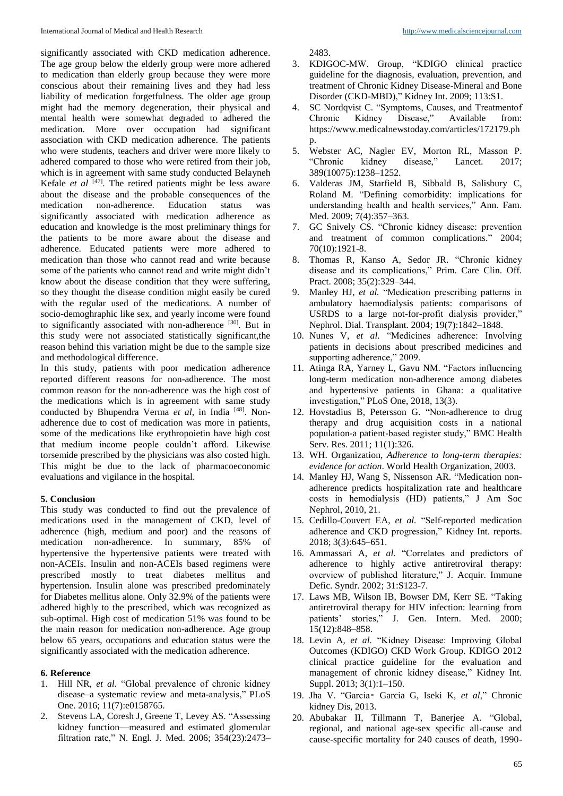significantly associated with CKD medication adherence. The age group below the elderly group were more adhered to medication than elderly group because they were more conscious about their remaining lives and they had less liability of medication forgetfulness. The older age group might had the memory degeneration, their physical and mental health were somewhat degraded to adhered the medication. More over occupation had significant association with CKD medication adherence. The patients who were students, teachers and driver were more likely to adhered compared to those who were retired from their job, which is in agreement with same study conducted Belayneh Kefale *et al* <sup>[47]</sup>. The retired patients might be less aware about the disease and the probable consequences of the medication non-adherence. Education status was significantly associated with medication adherence as education and knowledge is the most preliminary things for the patients to be more aware about the disease and adherence. Educated patients were more adhered to medication than those who cannot read and write because some of the patients who cannot read and write might didn't know about the disease condition that they were suffering, so they thought the disease condition might easily be cured with the regular used of the medications. A number of socio-demoghraphic like sex, and yearly income were found to significantly associated with non-adherence [30]. But in this study were not associated statistically significant,the reason behind this variation might be due to the sample size and methodological difference.

In this study, patients with poor medication adherence reported different reasons for non-adherence. The most common reason for the non-adherence was the high cost of the medications which is in agreement with same study conducted by Bhupendra Verma et al, in India<sup>[48]</sup>. Nonadherence due to cost of medication was more in patients, some of the medications like erythropoietin have high cost that medium income people couldn't afford. Likewise torsemide prescribed by the physicians was also costed high. This might be due to the lack of pharmacoeconomic evaluations and vigilance in the hospital.

### **5. Conclusion**

This study was conducted to find out the prevalence of medications used in the management of CKD, level of adherence (high, medium and poor) and the reasons of medication non-adherence. In summary, 85% of hypertensive the hypertensive patients were treated with non-ACEIs. Insulin and non-ACEIs based regimens were prescribed mostly to treat diabetes mellitus and hypertension. Insulin alone was prescribed predominately for Diabetes mellitus alone. Only 32.9% of the patients were adhered highly to the prescribed, which was recognized as sub-optimal. High cost of medication 51% was found to be the main reason for medication non-adherence. Age group below 65 years, occupations and education status were the significantly associated with the medication adherence.

#### **6. Reference**

- 1. Hill NR, *et al.* "Global prevalence of chronic kidney disease–a systematic review and meta-analysis," PLoS One. 2016; 11(7):e0158765.
- 2. Stevens LA, Coresh J, Greene T, Levey AS. "Assessing kidney function—measured and estimated glomerular filtration rate," N. Engl. J. Med. 2006; 354(23):2473–

2483.

- 3. KDIGOC-MW. Group, "KDIGO clinical practice guideline for the diagnosis, evaluation, prevention, and treatment of Chronic Kidney Disease-Mineral and Bone Disorder (CKD-MBD)," Kidney Int. 2009; 113:S1.
- 4. SC Nordqvist C. "Symptoms, Causes, and Treatmentof<br>Chronic Kidney Disease," Available from: Chronic Kidney Disease," Available from: https://www.medicalnewstoday.com/articles/172179.ph p.
- 5. Webster AC, Nagler EV, Morton RL, Masson P. "Chronic kidney disease," Lancet. 2017; 389(10075):1238–1252.
- 6. Valderas JM, Starfield B, Sibbald B, Salisbury C, Roland M. "Defining comorbidity: implications for understanding health and health services," Ann. Fam. Med. 2009; 7(4):357–363.
- 7. GC Snively CS. "Chronic kidney disease: prevention and treatment of common complications." 2004; 70(10):1921-8.
- 8. Thomas R, Kanso A, Sedor JR. "Chronic kidney disease and its complications," Prim. Care Clin. Off. Pract. 2008; 35(2):329–344.
- 9. Manley HJ, *et al.* "Medication prescribing patterns in ambulatory haemodialysis patients: comparisons of USRDS to a large not-for-profit dialysis provider," Nephrol. Dial. Transplant. 2004; 19(7):1842–1848.
- 10. Nunes V, *et al.* "Medicines adherence: Involving patients in decisions about prescribed medicines and supporting adherence," 2009.
- 11. Atinga RA, Yarney L, Gavu NM. "Factors influencing long-term medication non-adherence among diabetes and hypertensive patients in Ghana: a qualitative investigation," PLoS One, 2018, 13(3).
- 12. Hovstadius B, Petersson G. "Non-adherence to drug therapy and drug acquisition costs in a national population-a patient-based register study," BMC Health Serv. Res. 2011; 11(1):326.
- 13. WH. Organization, *Adherence to long-term therapies: evidence for action*. World Health Organization, 2003.
- 14. Manley HJ, Wang S, Nissenson AR. "Medication nonadherence predicts hospitalization rate and healthcare costs in hemodialysis (HD) patients," J Am Soc Nephrol, 2010, 21.
- 15. Cedillo-Couvert EA, *et al.* "Self-reported medication adherence and CKD progression," Kidney Int. reports. 2018; 3(3):645–651.
- 16. Ammassari A, *et al.* "Correlates and predictors of adherence to highly active antiretroviral therapy: overview of published literature," J. Acquir. Immune Defic. Syndr. 2002; 31:S123-7.
- 17. Laws MB, Wilson IB, Bowser DM, Kerr SE. "Taking antiretroviral therapy for HIV infection: learning from patients' stories," J. Gen. Intern. Med. 2000; 15(12):848–858.
- 18. Levin A*, et al.* "Kidney Disease: Improving Global Outcomes (KDIGO) CKD Work Group. KDIGO 2012 clinical practice guideline for the evaluation and management of chronic kidney disease," Kidney Int. Suppl. 2013; 3(1):1–150.
- 19. Jha V. "Garcia⁃ Garcia G, Iseki K, *et al*," Chronic kidney Dis, 2013.
- 20. Abubakar II, Tillmann T, Banerjee A. "Global, regional, and national age-sex specific all-cause and cause-specific mortality for 240 causes of death, 1990-